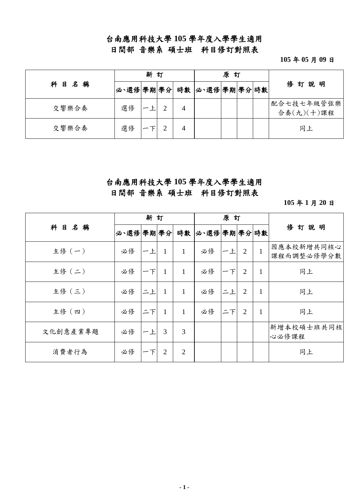### 台南應用科技大學 **105** 學年度入學學生適用

日間部 音樂系 碩士班科目修訂對照表

**105** 年 **05** 月 **09** 日

|          |    | 新 | 訂 |                                | 原訂 |  |                          |  |  |
|----------|----|---|---|--------------------------------|----|--|--------------------------|--|--|
| 目名稱<br>科 |    |   |   | 必、選修 學期 學分  時數   必、選修 學期 學分 時數 |    |  | 俢<br>訂說明                 |  |  |
| 交響樂合奏    | 選修 |   |   |                                |    |  | 配合七技七年級管弦樂<br>合奏(九)(十)課程 |  |  |
| 交響樂合奏    | 選修 |   |   |                                |    |  | 同上                       |  |  |

#### 台南應用科技大學 **105** 學年度入學學生適用 日間部 音樂系 碩士班科目修訂對照表

**105** 年 **1** 月 **20** 日

|          |         | 新訂 |              |                |               | 原訂 |                |              |                          |
|----------|---------|----|--------------|----------------|---------------|----|----------------|--------------|--------------------------|
| 目名稱<br>科 | 必速修學期學分 |    |              | 時數             | 必、選修 學期 學分 時數 |    |                |              | 俢<br>訂說明                 |
| 主修 (一)   | 必修      | 一上 | 1            | $\mathbf{1}$   | 必修            | 一上 | 2              | $\mathbf{1}$ | 因應本校新增共同核心<br>課程而調整必修學分數 |
| 主修 (二)   | 必修      | 一下 | $\mathbf{1}$ | $\mathbf{1}$   | 必修            | 一下 | $\overline{2}$ | 1            | 同上                       |
| 主修 (三)   | 必修      | ニ上 | $\mathbf{1}$ | $\mathbf{1}$   | 必修            | 二上 | $\overline{2}$ | $\mathbf{1}$ | 同上                       |
| 主修 (四)   | 必修      | 二下 | $\mathbf{1}$ | $\mathbf{1}$   | 必修            | 二下 | $\overline{2}$ | $\mathbf{1}$ | 同上                       |
| 文化創意產業專題 | 必修      | 一上 | 3            | 3              |               |    |                |              | 新增本校碩士班共同核<br>心必修課程      |
| 消費者行為    | 必修      | 下  | 2            | $\overline{2}$ |               |    |                |              | 同上                       |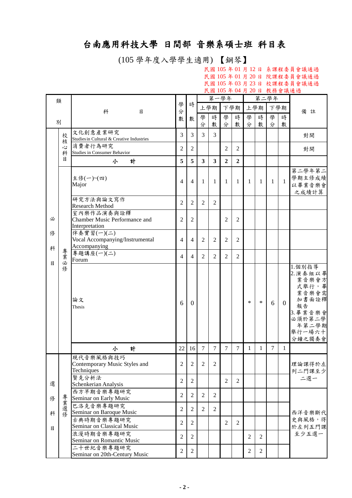# 台南應用科技大學 日間部 音樂系碩士班 科目表

(105 學年度入學學生適用) 【鋼琴】

民國 105 年 01 月 12 日 系課程委員會議通過 民國 105 年 01 月 20 日 院課程委員會議通過 民國 105 年 03 月 23 日 校課程委員會議通過 民國 105 年 04 月 20 日 教務會議通過

|   | 類      |                                             |                  |                |                | 第一學年                    |                |                |                |                  | 第二學年   |                |                    |
|---|--------|---------------------------------------------|------------------|----------------|----------------|-------------------------|----------------|----------------|----------------|------------------|--------|----------------|--------------------|
|   |        | 科<br>目                                      | 學<br>分           | 時              |                | 上學期                     |                | 下學期            |                | 上學期              | 下學期    |                | 備註                 |
|   |        |                                             | 數                | 數              | 學              | 時                       | 學              | 時              | 學              | 時                | 學      | 時              |                    |
| 別 |        |                                             |                  |                | 分              | 數                       | 分              | 數              | 分              | 數                | 分      | 數              |                    |
|   | 校      | 文化創意產業研究                                    | 3                | 3              | 3              | 3                       |                |                |                |                  |        |                | 對開                 |
|   | 核      | Studies in Cultural & Creative Industries   |                  |                |                |                         |                |                |                |                  |        |                |                    |
|   | 心<br>科 | 消費者行為研究<br>Studies in Consumer Behavior     | $\overline{c}$   | $\overline{2}$ |                |                         | $\overline{2}$ | $\overline{2}$ |                |                  |        |                | 對開                 |
|   | 目      | 計<br>小                                      | 5                | 5              | $\mathbf{3}$   | $\overline{\mathbf{3}}$ | $\overline{2}$ | $\overline{2}$ |                |                  |        |                |                    |
|   |        |                                             |                  |                |                |                         |                |                |                |                  |        |                | 第二學年第二             |
|   |        | 主修(一)~(四)                                   |                  |                |                |                         |                |                |                |                  |        |                | 學期主修成績             |
|   |        | Major                                       | 4                | 4              | 1              | 1                       | 1              | 1              | 1              | 1                | 1      | $\mathbf{1}$   | 以畢業音樂會             |
|   |        |                                             |                  |                |                |                         |                |                |                |                  |        |                | 之成績計算              |
|   |        | 研究方法與論文寫作                                   | $\mathfrak{2}$   | $\overline{2}$ | 2              | $\overline{2}$          |                |                |                |                  |        |                |                    |
|   |        | <b>Research Method</b>                      |                  |                |                |                         |                |                |                |                  |        |                |                    |
| 必 |        | 室內樂作品演奏與詮釋<br>Chamber Music Performance and | $\overline{2}$   | 2              |                |                         | $\overline{2}$ | $\overline{2}$ |                |                  |        |                |                    |
|   |        | Interpretation                              |                  |                |                |                         |                |                |                |                  |        |                |                    |
| 俢 |        | 伴奏實習(一)(二)                                  |                  |                |                |                         |                |                |                |                  |        |                |                    |
|   |        | Vocal Accompanying/Instrumental             | 4                | 4              | 2              | $\overline{2}$          | $\overline{2}$ | 2              |                |                  |        |                |                    |
| 科 | 專      | Accompanying<br>專題講座(一)(二)                  |                  |                |                |                         |                |                |                |                  |        |                |                    |
|   | 業必     | Forum                                       | $\overline{4}$   | $\overline{4}$ | $\overline{2}$ | $\overline{2}$          | $\overline{2}$ | 2              |                |                  |        |                |                    |
| 目 | 修      |                                             |                  |                |                |                         |                |                |                |                  |        |                | 1.個別指導             |
|   |        |                                             |                  |                |                |                         |                |                |                |                  |        |                | 2. 演奏組以畢           |
|   |        |                                             |                  |                |                |                         |                |                |                |                  |        |                | 業音樂會方<br>式舉行,畢     |
|   |        |                                             |                  |                |                |                         |                |                |                |                  |        |                | 業音樂會需              |
|   |        | 論文                                          | 6                | $\theta$       |                |                         |                |                | $\ast$         | $\ast$           | 6      | $\overline{0}$ | 加書面詮釋              |
|   |        | Thesis                                      |                  |                |                |                         |                |                |                |                  |        |                | 報告                 |
|   |        |                                             |                  |                |                |                         |                |                |                |                  |        |                | 3. 畢業音樂會<br>必須於第二學 |
|   |        |                                             |                  |                |                |                         |                |                |                |                  |        |                | 年第二學期              |
|   |        |                                             |                  |                |                |                         |                |                |                |                  |        |                | 舉行一場六十             |
|   |        |                                             |                  |                |                |                         |                |                |                |                  |        |                | 分鐘之獨奏會             |
|   |        | 計<br>小                                      | 22               | 16             | $\tau$         | $\tau$                  | $\tau$         | $\tau$         | $\mathbf{1}$   | $\mathbf{1}$     | $\tau$ | $\mathbf{1}$   |                    |
|   |        | 現代音樂風格與技巧                                   |                  |                |                |                         |                |                |                |                  |        |                |                    |
|   |        | Contemporary Music Styles and<br>Techniques | $\overline{c}$   | $\overline{c}$ | $\overline{2}$ | $\overline{2}$          |                |                |                |                  |        |                | 理論課得於左             |
|   |        | 賢克分析法                                       |                  |                |                |                         |                |                |                |                  |        |                | 列二門課至少<br>二選一      |
| 選 |        | Schenkerian Analysis                        | $\overline{2}$   | $\overline{2}$ |                |                         | $\overline{2}$ | $\overline{2}$ |                |                  |        |                |                    |
|   |        | 西方早期音樂專題研究                                  | $\overline{2}$   | $\overline{2}$ | $\overline{2}$ | $\overline{2}$          |                |                |                |                  |        |                |                    |
| 俢 | 專業選修   | Seminar on Early Music                      |                  |                |                |                         |                |                |                |                  |        |                |                    |
|   |        | 巴洛克音樂專題研究                                   | $\overline{2}$   | $\overline{2}$ | 2              | $\overline{2}$          |                |                |                |                  |        |                |                    |
| 科 |        | Seminar on Baroque Music<br>古典時期音樂專題研究      |                  |                |                |                         |                |                |                |                  |        |                | 西洋音樂斷代<br>史與風格,得   |
| 目 |        | Seminar on Classical Music                  | $\overline{2}$   | $\overline{2}$ |                |                         | $\overline{2}$ | $\overline{2}$ |                |                  |        |                | 於左列五門課             |
|   |        | 浪漫時期音樂專題研究                                  |                  |                |                |                         |                |                |                |                  |        |                | 至少五選一              |
|   |        | Seminar on Romantic Music                   | $\sqrt{2}$       | $\overline{2}$ |                |                         |                |                | $\overline{2}$ | $\overline{2}$   |        |                |                    |
|   |        | 二十世紀音樂專題研究                                  | $\boldsymbol{2}$ | $\overline{2}$ |                |                         |                |                | $\overline{2}$ | $\boldsymbol{2}$ |        |                |                    |
|   |        | Seminar on 20th-Century Music               |                  |                |                |                         |                |                |                |                  |        |                |                    |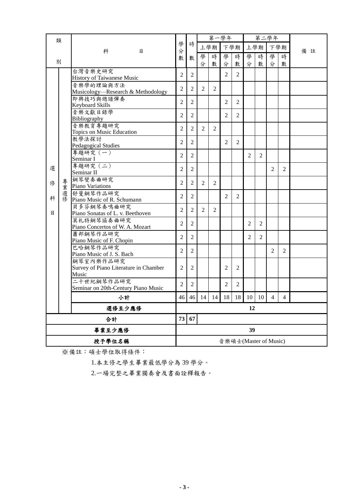|        | 類      |                                                |                       |                |                | 第一學年                      |                |                |                |                | 第二學年           |                |    |
|--------|--------|------------------------------------------------|-----------------------|----------------|----------------|---------------------------|----------------|----------------|----------------|----------------|----------------|----------------|----|
|        |        | 科<br>目                                         | 學<br>分                | 時              |                | 上學期                       |                | 下學期            |                | 上學期            |                | 下學期            | 備註 |
|        |        |                                                | 數                     | 數              | 學              | 時                         | 學              | 時              | 學              | 時              | 學              | 時              |    |
|        | 別      |                                                |                       |                | 分              | 數                         | 分              | 數              | 分              | 數              | 分              | 數              |    |
|        |        | 台灣音樂史研究                                        | $\overline{2}$        | 2              |                |                           | $\overline{2}$ | $\overline{2}$ |                |                |                |                |    |
|        |        | History of Taiwanese Music                     |                       |                |                |                           |                |                |                |                |                |                |    |
|        |        | 音樂學的理論與方法<br>Musicology—Research & Methodology | $\overline{2}$        | $\overline{2}$ | 2              | $\overline{2}$            |                |                |                |                |                |                |    |
|        |        | 即興技巧與總譜彈奏                                      |                       |                |                |                           |                |                |                |                |                |                |    |
|        |        | <b>Keyboard Skills</b>                         | $\overline{2}$        | 2              |                |                           | $\overline{2}$ | $\overline{2}$ |                |                |                |                |    |
|        |        | 音樂文獻目錄學                                        | $\overline{2}$        | 2              |                |                           | $\overline{2}$ | $\overline{2}$ |                |                |                |                |    |
|        |        | Bibliography                                   |                       |                |                |                           |                |                |                |                |                |                |    |
|        |        | 音樂教育專題研究<br>Topics on Music Education          | $\overline{c}$        | 2              | $\overline{2}$ | $\overline{2}$            |                |                |                |                |                |                |    |
|        |        | 教學法探討                                          |                       |                |                |                           |                |                |                |                |                |                |    |
|        |        | Pedagogical Studies                            | 2                     | 2              |                |                           | $\overline{2}$ | $\overline{2}$ |                |                |                |                |    |
|        |        | 專題研究 (一)                                       | $\overline{2}$        | 2              |                |                           |                |                | $\overline{2}$ | $\overline{2}$ |                |                |    |
|        |        | Seminar I                                      |                       |                |                |                           |                |                |                |                |                |                |    |
| 選      |        | 專題研究 (二)<br>Seminar II                         | $\overline{2}$        | $\overline{2}$ |                |                           |                |                |                |                | $\overline{2}$ | 2              |    |
|        |        | 鋼琴變奏曲研究                                        |                       |                |                |                           |                |                |                |                |                |                |    |
| 俢      | 專<br>葉 | Piano Variations                               | $\overline{2}$        | $\overline{2}$ | 2              | $\overline{2}$            |                |                |                |                |                |                |    |
|        | 選修     | 舒曼鋼琴作品研究                                       | $\overline{2}$        | 2              |                |                           | $\overline{c}$ | $\overline{2}$ |                |                |                |                |    |
| 科      |        | Piano Music of R. Schumann                     |                       |                |                |                           |                |                |                |                |                |                |    |
| 目      |        | 貝多芬鋼琴奏鳴曲研究<br>Piano Sonatas of L. v. Beethoven | $\overline{2}$        | 2              | $\overline{2}$ | $\overline{2}$            |                |                |                |                |                |                |    |
|        |        | 莫札特鋼琴協奏曲研究                                     |                       |                |                |                           |                |                |                |                |                |                |    |
|        |        | Piano Concertos of W. A. Mozart                | $\overline{2}$        | $\overline{2}$ |                |                           |                |                | $\overline{2}$ | $\overline{2}$ |                |                |    |
|        |        | 蕭邦鋼琴作品研究                                       | $\overline{2}$        | $\overline{2}$ |                |                           |                |                | 2              | $\overline{2}$ |                |                |    |
|        |        | Piano Music of F. Chopin                       |                       |                |                |                           |                |                |                |                |                |                |    |
|        |        | 巴哈鋼琴作品研究                                       | $\overline{2}$        | $\overline{2}$ |                |                           |                |                |                |                | $\overline{2}$ | $\overline{2}$ |    |
|        |        | Piano Music of J. S. Bach<br>鋼琴室內樂作品研究         |                       |                |                |                           |                |                |                |                |                |                |    |
|        |        | Survey of Piano Literature in Chamber          | 2                     | 2              |                |                           | 2              | 2              |                |                |                |                |    |
|        |        | Music                                          |                       |                |                |                           |                |                |                |                |                |                |    |
|        |        | 二十世紀鋼琴作品研究                                     | $\mathfrak{2}$        | $\overline{2}$ |                |                           | $\overline{2}$ | 2              |                |                |                |                |    |
|        |        | Seminar on 20th-Century Piano Music            |                       |                |                |                           |                |                |                |                |                |                |    |
|        |        | 小計                                             |                       |                |                | 46 46 14 14 18 18 10 10 4 |                |                |                |                |                | $\overline{4}$ |    |
|        |        | 選修至少應修                                         |                       |                |                |                           |                |                | 12             |                |                |                |    |
|        | 合計     |                                                |                       | 73<br>67       |                |                           |                |                |                |                |                |                |    |
| 畢業至少應修 |        |                                                |                       |                | 39             |                           |                |                |                |                |                |                |    |
|        |        | 授予學位名稱                                         | 音樂碩士(Master of Music) |                |                |                           |                |                |                |                |                |                |    |

※備註:碩士學位取得條件:

1.本主修之學生畢業最低學分為 39 學分。

2.一場完整之畢業獨奏會及書面詮釋報告。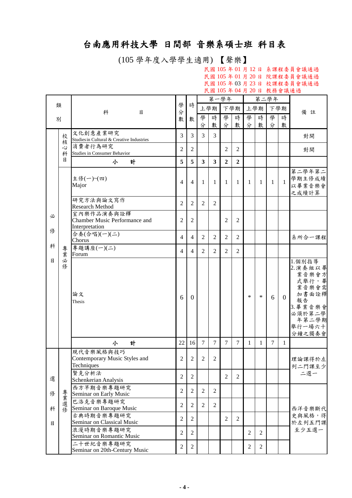# 台南應用科技大學 日間部 音樂系碩士班 科目表

(105 學年度入學學生適用) 【聲樂】

民國 105 年 01 月 12 日 系課程委員會議通過 民國 105 年 01 月 20 日 院課程委員會議通過 民國 105 年 03 月 23 日 校課程委員會議通過 民國 105 年 04 月 20 日 教務會議通過

|        |        |                                                                                           |                                  |                                  |                | 第一學年                    |                |                |                |                | 第二學年   |                |                                                                                                                 |
|--------|--------|-------------------------------------------------------------------------------------------|----------------------------------|----------------------------------|----------------|-------------------------|----------------|----------------|----------------|----------------|--------|----------------|-----------------------------------------------------------------------------------------------------------------|
|        | 類      | 科<br>目                                                                                    | 學<br>分                           | 時                                |                | 上學期                     |                | 下學期            |                | 上學期            | 下學期    |                | 備註                                                                                                              |
|        | 別      |                                                                                           | 數                                | 數                                | 學              | 時                       | 學              | 時              | 學              | 時              | 學      | 時              |                                                                                                                 |
|        |        |                                                                                           |                                  |                                  | 分              | 數                       | 分              | 數              | 分              | 數              | 分      | 數              |                                                                                                                 |
|        | 校      | 文化創意產業研究                                                                                  | 3                                | 3                                | 3              | 3                       |                |                |                |                |        |                | 對開                                                                                                              |
|        | 核      | Studies in Cultural & Creative Industries                                                 |                                  |                                  |                |                         |                |                |                |                |        |                |                                                                                                                 |
|        | 心<br>科 | 消費者行為研究<br>Studies in Consumer Behavior                                                   | 2                                | $\mathfrak{2}$                   |                |                         | $\overline{2}$ | $\overline{2}$ |                |                |        |                | 對開                                                                                                              |
|        | 目      | 計<br>小                                                                                    | 5                                | 5                                | 3              | $\overline{\mathbf{3}}$ | $\overline{2}$ | $\overline{2}$ |                |                |        |                |                                                                                                                 |
|        |        | 主修(一)~(四)<br>Major                                                                        | $\overline{4}$                   | $\overline{4}$                   | 1              | 1                       | 1              | 1              | 1              | 1              | 1      | $\mathbf{1}$   | 第二學年第二<br>學期主修成績<br>以畢業音樂會<br>之成績計算                                                                             |
|        |        | 研究方法與論文寫作<br><b>Research Method</b>                                                       | $\mathfrak{2}$                   | $\overline{2}$                   | $\overline{2}$ | $\overline{2}$          |                |                |                |                |        |                |                                                                                                                 |
| 必<br>俢 |        | 室內樂作品演奏與詮釋<br>Chamber Music Performance and<br>Interpretation                             | $\overline{2}$                   | $\mathfrak{2}$                   |                |                         | 2              | $\overline{2}$ |                |                |        |                |                                                                                                                 |
|        |        | 合奏(合唱)(一)(二)<br>Chorus                                                                    | $\overline{4}$                   | $\overline{4}$                   | 2              | $\overline{2}$          | $\overline{2}$ | $\overline{2}$ |                |                |        |                | 系所合一課程                                                                                                          |
| 科      | 專<br>葉 | 專題講座(一)(二)<br>Forum                                                                       | $\overline{4}$                   | $\overline{4}$                   | $\overline{c}$ | 2                       | $\overline{2}$ | 2              |                |                |        |                |                                                                                                                 |
| 目      | 必<br>修 | 論文<br>Thesis                                                                              | 6                                | $\Omega$                         |                |                         |                |                | $\ast$         | $\ast$         | 6      | $\overline{0}$ | 1.個別指導<br>2. 演奏組以畢<br>業音樂會方<br>式舉行,畢<br>業音樂會需<br>加書面詮釋<br>報告<br>3. 畢業音樂會<br>必須於第二學<br>年第二學期<br>舉行一場六十<br>分鐘之獨奏會 |
|        |        | 計<br>小                                                                                    | 22                               | 16                               | $\overline{7}$ | $\overline{7}$          | $\overline{7}$ | $\overline{7}$ | $\mathbf{1}$   | $\mathbf{1}$   | $\tau$ | $\mathbf{1}$   |                                                                                                                 |
| 選      |        | 現代音樂風格與技巧<br>Contemporary Music Styles and<br>Techniques<br>賢克分析法<br>Schenkerian Analysis | $\overline{2}$<br>$\overline{c}$ | $\overline{2}$<br>$\overline{2}$ | $\overline{2}$ | $\mathfrak{D}$          | $\overline{2}$ | 2              |                |                |        |                | 理論課得於左<br>列二門課至少<br>二選一                                                                                         |
|        |        | 西方早期音樂專題研究                                                                                |                                  |                                  |                |                         |                |                |                |                |        |                |                                                                                                                 |
| 俢      |        | Seminar on Early Music                                                                    | $\mathbf{2}$                     | $\overline{2}$                   | 2              | 2                       |                |                |                |                |        |                |                                                                                                                 |
| 科      | 專業選修   | 巴洛克音樂專題研究<br>Seminar on Baroque Music                                                     | $\mathbf{2}$                     | $\overline{2}$                   | 2              | 2                       |                |                |                |                |        |                | 西洋音樂斷代                                                                                                          |
| 目      |        | 古典時期音樂專題研究<br>Seminar on Classical Music                                                  | $\mathfrak{2}$                   | $\overline{2}$                   |                |                         | $\overline{2}$ | $\overline{2}$ |                |                |        |                | 史與風格,得<br>於左列五門課                                                                                                |
|        |        | 浪漫時期音樂專題研究<br>Seminar on Romantic Music                                                   | $\overline{2}$                   | $\overline{2}$                   |                |                         |                |                | $\overline{2}$ | $\mathfrak{2}$ |        |                | 至少五選一                                                                                                           |
|        |        | 二十世紀音樂專題研究<br>Seminar on 20th-Century Music                                               | $\boldsymbol{2}$                 | $\overline{2}$                   |                |                         |                |                | $\overline{2}$ | $\overline{c}$ |        |                |                                                                                                                 |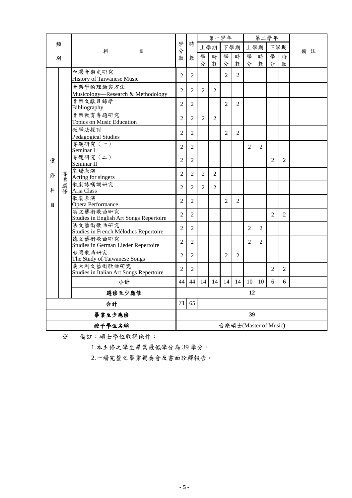|   |        |                                                   |                |                       |                | 第一學年           |                |                |                |                | 第二學年           |                |    |  |
|---|--------|---------------------------------------------------|----------------|-----------------------|----------------|----------------|----------------|----------------|----------------|----------------|----------------|----------------|----|--|
|   | 類      |                                                   | 學              | 時                     |                | 上學期            | 下學期            |                |                | 上學期            | 下學期            |                |    |  |
|   | 別      | 科<br>目                                            | 分<br>數         | 數                     | 學              | 時              | 學              | 時              | 學              | 時              | 學              | 時              | 備註 |  |
|   |        |                                                   |                |                       | 分              | 數              | 分              | 數              | 分              | 數              | 分              | 數              |    |  |
|   |        | 台灣音樂史研究                                           | $\overline{2}$ | $\overline{2}$        |                |                | $\overline{2}$ | $\overline{2}$ |                |                |                |                |    |  |
|   |        | History of Taiwanese Music                        |                |                       |                |                |                |                |                |                |                |                |    |  |
|   |        | 音樂學的理論與方法<br>Musicology-Research & Methodology    | $\overline{2}$ | $\overline{2}$        | $\overline{2}$ | $\overline{2}$ |                |                |                |                |                |                |    |  |
|   |        | 音樂文獻目錄學                                           | $\overline{2}$ | 2                     |                |                | $\mathfrak{D}$ | 2              |                |                |                |                |    |  |
|   |        | Bibliography                                      |                |                       |                |                |                |                |                |                |                |                |    |  |
|   |        | 音樂教育專題研究                                          | $\overline{2}$ | $\overline{2}$        | $\overline{2}$ | 2              |                |                |                |                |                |                |    |  |
|   |        | Topics on Music Education<br>教學法探討                |                |                       |                |                |                |                |                |                |                |                |    |  |
|   |        | Pedagogical Studies                               | $\overline{2}$ | $\overline{2}$        |                |                | $\overline{2}$ | $\overline{2}$ |                |                |                |                |    |  |
|   |        | 專題研究 (一)                                          | $\overline{2}$ | $\overline{2}$        |                |                |                |                | $\overline{2}$ | $\overline{2}$ |                |                |    |  |
|   |        | Seminar I<br>專題研究 (二)                             |                |                       |                |                |                |                |                |                |                |                |    |  |
| 選 |        | Seminar II                                        | $\overline{2}$ | 2                     |                |                |                |                |                |                | $\mathfrak{D}$ | $\mathfrak{D}$ |    |  |
|   |        | 劇場表演                                              | $\overline{2}$ | $\overline{2}$        | $\overline{2}$ | $\overline{c}$ |                |                |                |                |                |                |    |  |
| 俢 |        | Acting for singers                                |                |                       |                |                |                |                |                |                |                |                |    |  |
| 科 | 專業選修   | 歌劇詠嘆調研究<br>Aria Class                             | $\overline{2}$ | $\overline{2}$        | $\overline{2}$ | $\overline{2}$ |                |                |                |                |                |                |    |  |
|   |        | 歌劇表演                                              | $\overline{2}$ | $\overline{2}$        |                |                | $\overline{2}$ | $\overline{2}$ |                |                |                |                |    |  |
| 目 |        | Opera Performance<br>英文藝術歌曲研究                     |                |                       |                |                |                |                |                |                |                |                |    |  |
|   |        | Studies in English Art Songs Repertoire           | $\overline{2}$ | $\overline{2}$        |                |                |                |                |                |                | $\overline{2}$ | $\overline{2}$ |    |  |
|   |        | 法文藝術歌曲研究                                          | $\mathfrak{2}$ | 2                     |                |                |                |                | 2              | 2              |                |                |    |  |
|   |        | Studies in French Mélodies Repertoire<br>德文藝術歌曲研究 |                |                       |                |                |                |                |                |                |                |                |    |  |
|   |        | Studies in German Lieder Repertoire               | $\overline{2}$ | $\overline{2}$        |                |                |                |                | 2              | 2              |                |                |    |  |
|   |        | 台灣歌曲研究                                            | $\overline{c}$ | $\overline{2}$        |                |                | 2              | $\overline{2}$ |                |                |                |                |    |  |
|   |        | The Study of Taiwanese Songs<br>義大利文藝術歌曲研究        |                |                       |                |                |                |                |                |                |                |                |    |  |
|   |        | Studies in Italian Art Songs Repertoire           | $\overline{2}$ | $\overline{2}$        |                |                |                |                |                |                | $\overline{2}$ | $\overline{2}$ |    |  |
|   |        | 小計                                                | 44             | 44                    | 14             | 14             | 14             | 14             | 10             | 10             | 6              | 6              |    |  |
|   | 選修至少應修 |                                                   |                |                       |                |                |                |                | 12             |                |                |                |    |  |
|   | 合計     |                                                   |                | 65                    |                |                |                |                |                |                |                |                |    |  |
|   | 畢業至少應修 |                                                   |                |                       |                |                |                |                | 39             |                |                |                |    |  |
|   | 授予學位名稱 |                                                   |                | 音樂碩士(Master of Music) |                |                |                |                |                |                |                |                |    |  |

※ 備註:碩士學位取得條件:

1.本主修之學生畢業最低學分為 39 學分。

2.一場完整之畢業獨奏會及書面詮釋報告。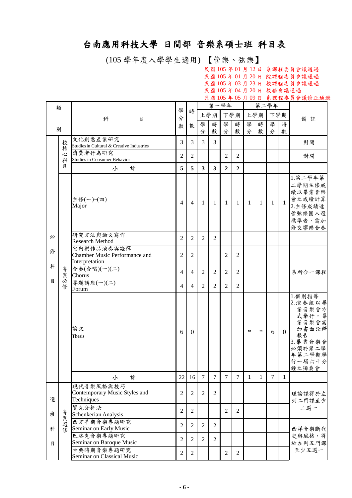# 台南應用科技大學 日間部 音樂系碩士班 科目表

(105 學年度入學學生適用) 【管樂、弦樂】

民國 105 年 01 月 12 日 系課程委員會議通過 民國 105 年 01 月 20 日 院課程委員會議通過 民國 105 年 03 月 23 日 校課程委員會議通過 民國 105 年 04 月 20 日 教務會議通過 民國 105 年 05 月 09 日 系課程委員會議修正通過

|        | 類      |                                                                                           |                                  |                     |                | 第一學年           |                |                |        |              | 第二學年           |                |                                                                                                                |
|--------|--------|-------------------------------------------------------------------------------------------|----------------------------------|---------------------|----------------|----------------|----------------|----------------|--------|--------------|----------------|----------------|----------------------------------------------------------------------------------------------------------------|
|        |        | 科<br>目                                                                                    | 學<br>分                           | 時                   | 上學期            |                |                | 下學期            |        | 上學期          | 下學期            |                | 備註                                                                                                             |
| 別      |        |                                                                                           | 數                                | 數                   | 學              | 時              | 學              | 時              | 學      | 時            | 學              | 時              |                                                                                                                |
|        |        | 文化創意產業研究                                                                                  |                                  |                     | 分              | 數              | 分              | 數              | 分      | 數            | 分              | 數              |                                                                                                                |
|        | 校<br>核 | Studies in Cultural & Creative Industries                                                 | 3                                | 3                   | 3              | 3              |                |                |        |              |                |                | 對開                                                                                                             |
|        | 心<br>科 | 消費者行為研究<br>Studies in Consumer Behavior                                                   | 2                                | 2                   |                |                | 2              | 2              |        |              |                |                | 對開                                                                                                             |
|        | 目      | 計<br>小                                                                                    | 5                                | 5                   | 3              | 3              | $\mathbf{2}$   | $\mathbf{2}$   |        |              |                |                |                                                                                                                |
|        |        | 主修(一)~(四)<br>Major                                                                        | $\overline{4}$                   | $\overline{4}$      | $\mathbf{1}$   | $\mathbf{1}$   | 1              | -1             | 1      | -1           | $\mathbf{1}$   | $\overline{1}$ | $1.$ 第二學年第<br>二學期主修成<br>績以畢業音樂<br>會之成績計算<br>2.主修成績達<br>管弦樂團入選<br>標準者,需加<br>修交響樂合奏                              |
| 必      |        | 研究方法與論文寫作<br><b>Research Method</b>                                                       | $\overline{2}$                   | $\overline{2}$      | 2              | $\overline{2}$ |                |                |        |              |                |                |                                                                                                                |
| 俢      |        | 室內樂作品演奏與詮釋<br>Chamber Music Performance and<br>Interpretation                             | $\overline{2}$                   | $\overline{2}$      |                |                | 2              | 2              |        |              |                |                |                                                                                                                |
| 科      | 專<br>葉 | 合奏(合唱)(一)(二)<br>Chorus                                                                    | 4                                | $\overline{4}$      | 2              | 2              | $\overline{2}$ | $\overline{2}$ |        |              |                |                | 系所合一課程                                                                                                         |
| 目      | 必<br>修 | 專題講座(一)(二)<br>Forum                                                                       | 4                                | $\overline{4}$      | $\overline{c}$ | 2              | 2              | 2              |        |              |                |                |                                                                                                                |
|        |        | 論文<br>Thesis                                                                              | 6                                | $\Omega$            |                |                |                |                | $\ast$ | $\ast$       | 6              | $\overline{0}$ | 1.個別指導<br>2.演奏組以畢<br>業音樂會方<br>式舉行,畢<br>業音樂會需<br>加書面詮釋<br>報告<br>3. 畢業音樂會<br>必須於第二學<br>年第二學期舉<br>行一場六十分<br>鐘之獨奏會 |
|        |        | 計<br>小                                                                                    | 22                               | 16                  | $\overline{7}$ | $\overline{7}$ | $\overline{7}$ | $\overline{7}$ | 1      | $\mathbf{1}$ | $\overline{7}$ | $\mathbf{1}$   |                                                                                                                |
| 選<br>俢 |        | 現代音樂風格與技巧<br>Contemporary Music Styles and<br>Techniques<br>賢克分析法<br>Schenkerian Analysis | $\overline{2}$<br>$\overline{2}$ | $\overline{2}$<br>2 | $\overline{2}$ | $\overline{2}$ | $\overline{2}$ | $\overline{2}$ |        |              |                |                | 理論課得於左<br>列二門課至少<br>二選一                                                                                        |
| 科      | 專業選修   | 西方早期音樂專題研究<br>Seminar on Early Music                                                      | $\overline{2}$                   | $\overline{2}$      | $\overline{2}$ | 2              |                |                |        |              |                |                | 西洋音樂斷代                                                                                                         |
| 目      |        | 巴洛克音樂專題研究<br>Seminar on Baroque Music                                                     | $\overline{2}$                   | $\overline{2}$      | $\overline{2}$ | 2              |                |                |        |              |                |                | 史與風格,得<br>於左列五門課                                                                                               |
|        |        | 古典時期音樂專題研究<br>Seminar on Classical Music                                                  | $\sqrt{2}$                       | $\overline{2}$      |                |                | $\overline{2}$ | $\overline{2}$ |        |              |                |                | 至少五選一                                                                                                          |